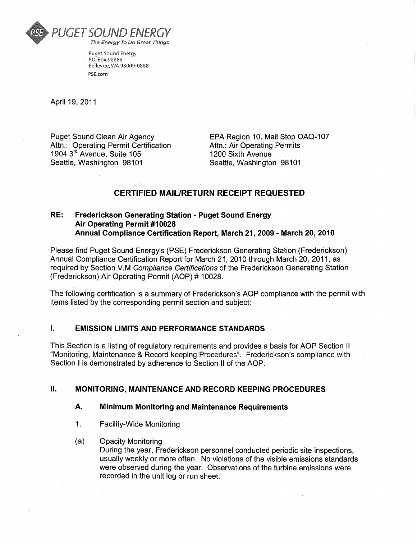

Puget Sound Energy P.O. Box 90868 Bellevue, WA 98009-0868 PSF com

April 19, 2011

**Puget Sound Clean Air Agency** Attn.: Operating Permit Certification 1904 3rd Avenue, Suite 105 Seattle, Washington 98101

EPA Region 10, Mail Stop OAQ-107 **Attn.: Air Operating Permits** 1200 Sixth Avenue Seattle, Washington 98101

#### **CERTIFIED MAIL/RETURN RECEIPT REQUESTED**

#### RE: **Frederickson Generating Station - Puget Sound Energy Air Operating Permit #10028** Annual Compliance Certification Report, March 21, 2009 - March 20, 2010

Please find Puget Sound Energy's (PSE) Frederickson Generating Station (Frederickson) Annual Compliance Certification Report for March 21, 2010 through March 20, 2011, as required by Section V.M Compliance Certifications of the Frederickson Generating Station (Frederickson) Air Operating Permit (AOP) # 10028.

The following certification is a summary of Frederickson's AOP compliance with the permit with items listed by the corresponding permit section and subject:

#### L. **EMISSION LIMITS AND PERFORMANCE STANDARDS**

This Section is a listing of regulatory requirements and provides a basis for AOP Section II "Monitoring, Maintenance & Record keeping Procedures". Frederickson's compliance with Section I is demonstrated by adherence to Section II of the AOP.

#### Н. **MONITORING, MAINTENANCE AND RECORD KEEPING PROCEDURES**

#### А. **Minimum Monitoring and Maintenance Requirements**

- $1<sub>1</sub>$ Facility-Wide Monitoring
- $(a)$ **Opacity Monitoring**

During the year, Frederickson personnel conducted periodic site inspections. usually weekly or more often. No violations of the visible emissions standards were observed during the year. Observations of the turbine emissions were recorded in the unit log or run sheet.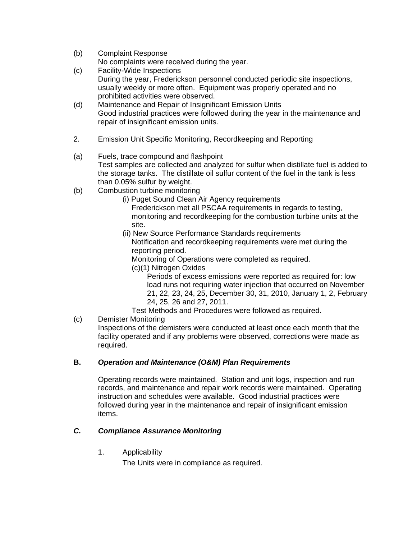(b) Complaint Response

No complaints were received during the year.

- (c) Facility-Wide Inspections
	- During the year, Frederickson personnel conducted periodic site inspections, usually weekly or more often. Equipment was properly operated and no prohibited activities were observed.
- (d) Maintenance and Repair of Insignificant Emission Units Good industrial practices were followed during the year in the maintenance and repair of insignificant emission units.
- 2. Emission Unit Specific Monitoring, Recordkeeping and Reporting
- (a) Fuels, trace compound and flashpoint Test samples are collected and analyzed for sulfur when distillate fuel is added to the storage tanks. The distillate oil sulfur content of the fuel in the tank is less than 0.05% sulfur by weight.
- (b) Combustion turbine monitoring
	- (i) Puget Sound Clean Air Agency requirements

Frederickson met all PSCAA requirements in regards to testing, monitoring and recordkeeping for the combustion turbine units at the site.

(ii) New Source Performance Standards requirements Notification and recordkeeping requirements were met during the reporting period.

Monitoring of Operations were completed as required.

- (c)(1) Nitrogen Oxides
	- Periods of excess emissions were reported as required for: low load runs not requiring water injection that occurred on November 21, 22, 23, 24, 25, December 30, 31, 2010, January 1, 2, February 24, 25, 26 and 27, 2011.
- Test Methods and Procedures were followed as required.
- (c) Demister Monitoring

Inspections of the demisters were conducted at least once each month that the facility operated and if any problems were observed, corrections were made as required.

## **B.** *Operation and Maintenance (O&M) Plan Requirements*

Operating records were maintained. Station and unit logs, inspection and run records, and maintenance and repair work records were maintained. Operating instruction and schedules were available. Good industrial practices were followed during year in the maintenance and repair of insignificant emission items.

## *C. Compliance Assurance Monitoring*

1. Applicability

The Units were in compliance as required.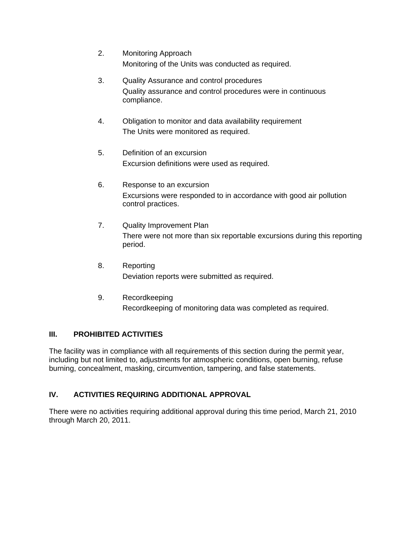- 2. Monitoring Approach Monitoring of the Units was conducted as required.
- 3. Quality Assurance and control procedures Quality assurance and control procedures were in continuous compliance.
- 4. Obligation to monitor and data availability requirement The Units were monitored as required.
- 5. Definition of an excursion Excursion definitions were used as required.
- 6. Response to an excursion Excursions were responded to in accordance with good air pollution control practices.
- 7. Quality Improvement Plan There were not more than six reportable excursions during this reporting period.
- 8. Reporting Deviation reports were submitted as required.
- 9. Recordkeeping Recordkeeping of monitoring data was completed as required.

# **III. PROHIBITED ACTIVITIES**

The facility was in compliance with all requirements of this section during the permit year, including but not limited to, adjustments for atmospheric conditions, open burning, refuse burning, concealment, masking, circumvention, tampering, and false statements.

# **IV. ACTIVITIES REQUIRING ADDITIONAL APPROVAL**

There were no activities requiring additional approval during this time period, March 21, 2010 through March 20, 2011.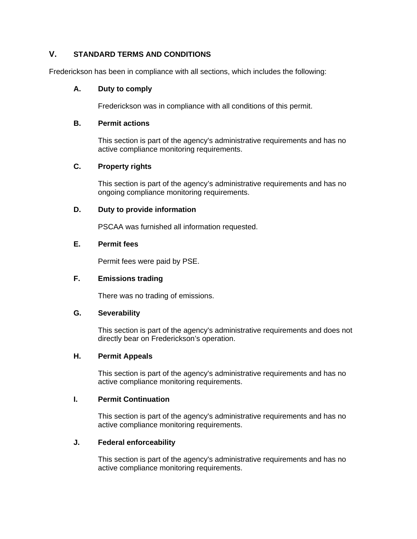## **V. STANDARD TERMS AND CONDITIONS**

Frederickson has been in compliance with all sections, which includes the following:

#### **A. Duty to comply**

Frederickson was in compliance with all conditions of this permit.

#### **B. Permit actions**

This section is part of the agency's administrative requirements and has no active compliance monitoring requirements.

## **C. Property rights**

This section is part of the agency's administrative requirements and has no ongoing compliance monitoring requirements.

#### **D. Duty to provide information**

PSCAA was furnished all information requested.

#### **E. Permit fees**

Permit fees were paid by PSE.

## **F. Emissions trading**

There was no trading of emissions.

#### **G. Severability**

This section is part of the agency's administrative requirements and does not directly bear on Frederickson's operation.

#### **H. Permit Appeals**

This section is part of the agency's administrative requirements and has no active compliance monitoring requirements.

## **I. Permit Continuation**

This section is part of the agency's administrative requirements and has no active compliance monitoring requirements.

#### **J. Federal enforceability**

This section is part of the agency's administrative requirements and has no active compliance monitoring requirements.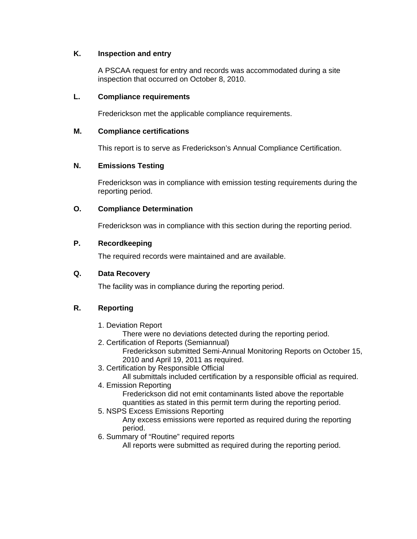#### **K. Inspection and entry**

A PSCAA request for entry and records was accommodated during a site inspection that occurred on October 8, 2010.

#### **L. Compliance requirements**

Frederickson met the applicable compliance requirements.

#### **M. Compliance certifications**

This report is to serve as Frederickson's Annual Compliance Certification.

#### **N. Emissions Testing**

Frederickson was in compliance with emission testing requirements during the reporting period.

#### **O. Compliance Determination**

Frederickson was in compliance with this section during the reporting period.

#### **P. Recordkeeping**

The required records were maintained and are available.

#### **Q. Data Recovery**

The facility was in compliance during the reporting period.

## **R. Reporting**

- 1. Deviation Report
	- There were no deviations detected during the reporting period.
- 2. Certification of Reports (Semiannual) Frederickson submitted Semi-Annual Monitoring Reports on October 15, 2010 and April 19, 2011 as required.
- 3. Certification by Responsible Official

All submittals included certification by a responsible official as required.

4. Emission Reporting

Frederickson did not emit contaminants listed above the reportable quantities as stated in this permit term during the reporting period.

5. NSPS Excess Emissions Reporting

Any excess emissions were reported as required during the reporting period.

6. Summary of "Routine" required reports

All reports were submitted as required during the reporting period.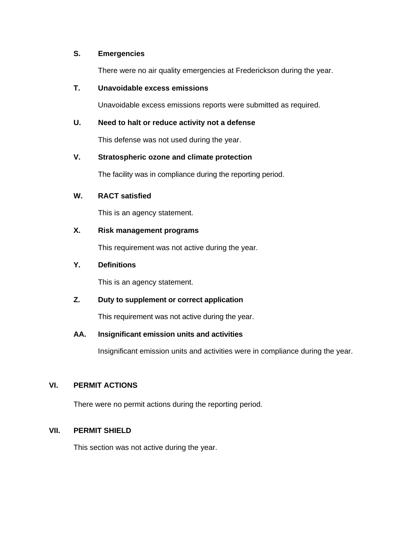#### **S. Emergencies**

There were no air quality emergencies at Frederickson during the year.

#### **T. Unavoidable excess emissions**

Unavoidable excess emissions reports were submitted as required.

#### **U. Need to halt or reduce activity not a defense**

This defense was not used during the year.

#### **V. Stratospheric ozone and climate protection**

The facility was in compliance during the reporting period.

#### **W. RACT satisfied**

This is an agency statement.

#### **X. Risk management programs**

This requirement was not active during the year.

#### **Y. Definitions**

This is an agency statement.

#### **Z. Duty to supplement or correct application**

This requirement was not active during the year.

#### **AA. Insignificant emission units and activities**

Insignificant emission units and activities were in compliance during the year.

#### **VI. PERMIT ACTIONS**

There were no permit actions during the reporting period.

#### **VII. PERMIT SHIELD**

This section was not active during the year.